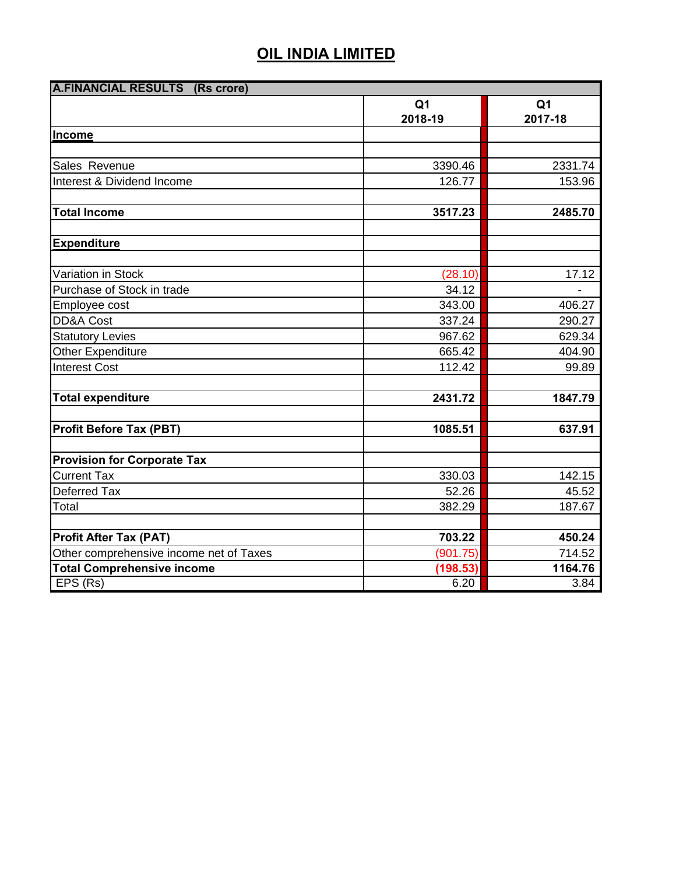| <b>A.FINANCIAL RESULTS (Rs crore)</b>   |                |                |  |
|-----------------------------------------|----------------|----------------|--|
|                                         | Q <sub>1</sub> | Q <sub>1</sub> |  |
|                                         | 2018-19        | 2017-18        |  |
| Income                                  |                |                |  |
|                                         |                |                |  |
| Sales Revenue                           | 3390.46        | 2331.74        |  |
| Interest & Dividend Income              | 126.77         | 153.96         |  |
|                                         |                |                |  |
| <b>Total Income</b>                     | 3517.23        | 2485.70        |  |
|                                         |                |                |  |
| <b>Expenditure</b>                      |                |                |  |
|                                         |                |                |  |
| Variation in Stock                      | (28.10)        | 17.12          |  |
| Purchase of Stock in trade              | 34.12          |                |  |
| Employee cost                           | 343.00         | 406.27         |  |
| DD&A Cost                               | 337.24         | 290.27         |  |
| <b>Statutory Levies</b>                 | 967.62         | 629.34         |  |
| Other Expenditure                       | 665.42         | 404.90         |  |
| <b>Interest Cost</b>                    | 112.42         | 99.89          |  |
|                                         |                |                |  |
| <b>Total expenditure</b>                | 2431.72        | 1847.79        |  |
|                                         |                |                |  |
| <b>Profit Before Tax (PBT)</b>          | 1085.51        | 637.91         |  |
|                                         |                |                |  |
| <b>Provision for Corporate Tax</b>      |                |                |  |
| <b>Current Tax</b>                      | 330.03         | 142.15         |  |
| Deferred Tax                            | 52.26          | 45.52          |  |
| Total                                   | 382.29         | 187.67         |  |
|                                         |                |                |  |
| <b>Profit After Tax (PAT)</b>           | 703.22         | 450.24         |  |
| Other comprehensive income net of Taxes | (901.75)       | 714.52         |  |
| <b>Total Comprehensive income</b>       | (198.53)       | 1164.76        |  |
| EPS (Rs)                                | 6.20           | 3.84           |  |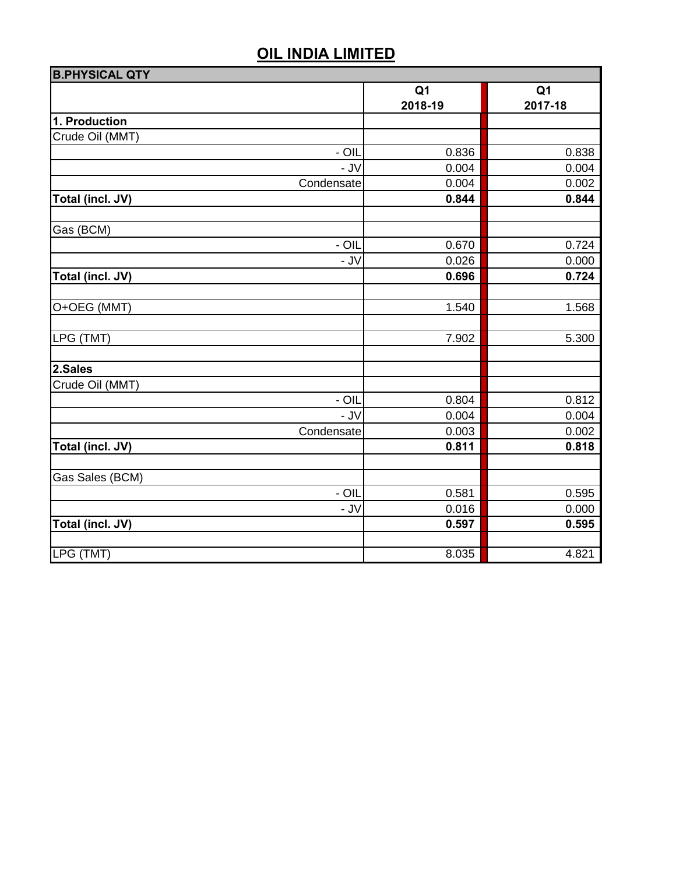| <b>B.PHYSICAL QTY</b> |                |                |  |
|-----------------------|----------------|----------------|--|
|                       | Q <sub>1</sub> | Q <sub>1</sub> |  |
|                       | 2018-19        | 2017-18        |  |
| 1. Production         |                |                |  |
| Crude Oil (MMT)       |                |                |  |
| $-$ OIL               | 0.836          | 0.838          |  |
| - J $V$               | 0.004          | 0.004          |  |
| Condensate            | 0.004          | 0.002          |  |
| Total (incl. JV)      | 0.844          | 0.844          |  |
| Gas (BCM)             |                |                |  |
| $-$ OIL               | 0.670          | 0.724          |  |
| $-$ JV                | 0.026          | 0.000          |  |
| Total (incl. JV)      | 0.696          | 0.724          |  |
| O+OEG (MMT)           | 1.540          | 1.568          |  |
| LPG (TMT)             | 7.902          | 5.300          |  |
|                       |                |                |  |
| 2.Sales               |                |                |  |
| Crude Oil (MMT)       |                |                |  |
| $-$ OIL               | 0.804          | 0.812          |  |
| - JV                  | 0.004          | 0.004          |  |
| Condensate            | 0.003          | 0.002          |  |
| Total (incl. JV)      | 0.811          | 0.818          |  |
| Gas Sales (BCM)       |                |                |  |
| $-$ OIL               | 0.581          | 0.595          |  |
| $-$ JV                | 0.016          | 0.000          |  |
| Total (incl. JV)      | 0.597          | 0.595          |  |
|                       |                |                |  |
| LPG (TMT)             | 8.035          | 4.821          |  |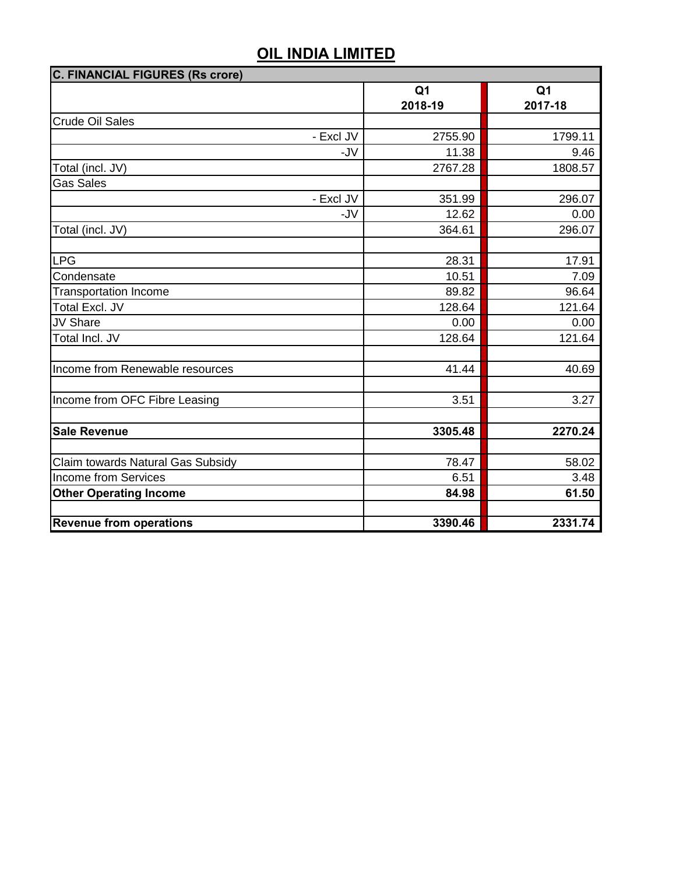| C. FINANCIAL FIGURES (Rs crore)   |                |                |  |  |
|-----------------------------------|----------------|----------------|--|--|
|                                   | Q <sub>1</sub> | Q <sub>1</sub> |  |  |
|                                   | 2018-19        | 2017-18        |  |  |
| <b>Crude Oil Sales</b>            |                |                |  |  |
| - Excl JV                         | 2755.90        | 1799.11        |  |  |
| -JV                               | 11.38          | 9.46           |  |  |
| Total (incl. JV)                  | 2767.28        | 1808.57        |  |  |
| <b>Gas Sales</b>                  |                |                |  |  |
| - Excl JV                         | 351.99         | 296.07         |  |  |
| -JV                               | 12.62          | 0.00           |  |  |
| Total (incl. JV)                  | 364.61         | 296.07         |  |  |
|                                   |                |                |  |  |
| LPG                               | 28.31          | 17.91          |  |  |
| Condensate                        | 10.51          | 7.09           |  |  |
| <b>Transportation Income</b>      | 89.82          | 96.64          |  |  |
| Total Excl. JV                    | 128.64         | 121.64         |  |  |
| JV Share                          | 0.00           | 0.00           |  |  |
| Total Incl. JV                    | 128.64         | 121.64         |  |  |
|                                   |                |                |  |  |
| Income from Renewable resources   | 41.44          | 40.69          |  |  |
|                                   |                |                |  |  |
| Income from OFC Fibre Leasing     | 3.51           | 3.27           |  |  |
|                                   |                |                |  |  |
| <b>Sale Revenue</b>               | 3305.48        | 2270.24        |  |  |
|                                   |                |                |  |  |
| Claim towards Natural Gas Subsidy | 78.47          | 58.02          |  |  |
| <b>Income from Services</b>       | 6.51           | 3.48           |  |  |
| <b>Other Operating Income</b>     | 84.98          | 61.50          |  |  |
|                                   |                |                |  |  |
| <b>Revenue from operations</b>    | 3390.46        | 2331.74        |  |  |